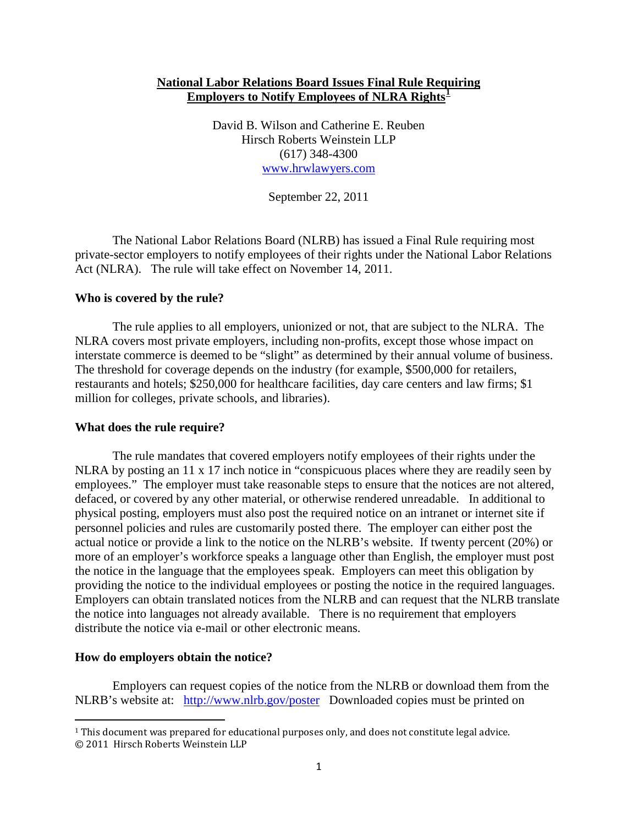## **National Labor Relations Board Issues Final Rule Requiring Employers to Notify Employees of NLRA Rights[1](#page-0-0)**

David B. Wilson and Catherine E. Reuben Hirsch Roberts Weinstein LLP (617) 348-4300 [www.hrwlawyers.com](http://www.hrwlawyers.com/)

September 22, 2011

The National Labor Relations Board (NLRB) has issued a Final Rule requiring most private-sector employers to notify employees of their rights under the National Labor Relations Act (NLRA). The rule will take effect on November 14, 2011.

### **Who is covered by the rule?**

The rule applies to all employers, unionized or not, that are subject to the NLRA. The NLRA covers most private employers, including non-profits, except those whose impact on interstate commerce is deemed to be "slight" as determined by their annual volume of business. The threshold for coverage depends on the industry (for example, \$500,000 for retailers, restaurants and hotels; \$250,000 for healthcare facilities, day care centers and law firms; \$1 million for colleges, private schools, and libraries).

### **What does the rule require?**

The rule mandates that covered employers notify employees of their rights under the NLRA by posting an 11 x 17 inch notice in "conspicuous places where they are readily seen by employees." The employer must take reasonable steps to ensure that the notices are not altered, defaced, or covered by any other material, or otherwise rendered unreadable. In additional to physical posting, employers must also post the required notice on an intranet or internet site if personnel policies and rules are customarily posted there. The employer can either post the actual notice or provide a link to the notice on the NLRB's website. If twenty percent (20%) or more of an employer's workforce speaks a language other than English, the employer must post the notice in the language that the employees speak. Employers can meet this obligation by providing the notice to the individual employees or posting the notice in the required languages. Employers can obtain translated notices from the NLRB and can request that the NLRB translate the notice into languages not already available. There is no requirement that employers distribute the notice via e-mail or other electronic means.

#### **How do employers obtain the notice?**

ı

Employers can request copies of the notice from the NLRB or download them from the NLRB's website at: <http://www.nlrb.gov/poster>Downloaded copies must be printed on

<span id="page-0-0"></span><sup>1</sup> This document was prepared for educational purposes only, and does not constitute legal advice. © 2011 Hirsch Roberts Weinstein LLP